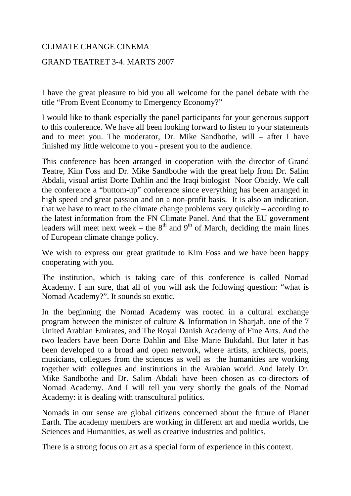## CLIMATE CHANGE CINEMA

## GRAND TEATRET 3-4. MARTS 2007

I have the great pleasure to bid you all welcome for the panel debate with the title "From Event Economy to Emergency Economy?"

I would like to thank especially the panel participants for your generous support to this conference. We have all been looking forward to listen to your statements and to meet you. The moderator, Dr. Mike Sandbothe, will – after I have finished my little welcome to you - present you to the audience.

This conference has been arranged in cooperation with the director of Grand Teatre, Kim Foss and Dr. Mike Sandbothe with the great help from Dr. Salim Abdali, visual artist Dorte Dahlin and the Iraqi biologist Noor Obaidy. We call the conference a "buttom-up" conference since everything has been arranged in high speed and great passion and on a non-profit basis. It is also an indication, that we have to react to the climate change problems very quickly – according to the latest information from the FN Climate Panel. And that the EU government leaders will meet next week – the  $8<sup>th</sup>$  and  $9<sup>th</sup>$  of March, deciding the main lines of European climate change policy.

We wish to express our great gratitude to Kim Foss and we have been happy cooperating with you.

The institution, which is taking care of this conference is called Nomad Academy. I am sure, that all of you will ask the following question: "what is Nomad Academy?". It sounds so exotic.

In the beginning the Nomad Academy was rooted in a cultural exchange program between the minister of culture & Information in Sharjah, one of the 7 United Arabian Emirates, and The Royal Danish Academy of Fine Arts. And the two leaders have been Dorte Dahlin and Else Marie Bukdahl. But later it has been developed to a broad and open network, where artists, architects, poets, musicians, collegues from the sciences as well as the humanities are working together with collegues and institutions in the Arabian world. And lately Dr. Mike Sandbothe and Dr. Salim Abdali have been chosen as co-directors of Nomad Academy. And I will tell you very shortly the goals of the Nomad Academy: it is dealing with transcultural politics.

Nomads in our sense are global citizens concerned about the future of Planet Earth. The academy members are working in different art and media worlds, the Sciences and Humanities, as well as creative industries and politics.

There is a strong focus on art as a special form of experience in this context.